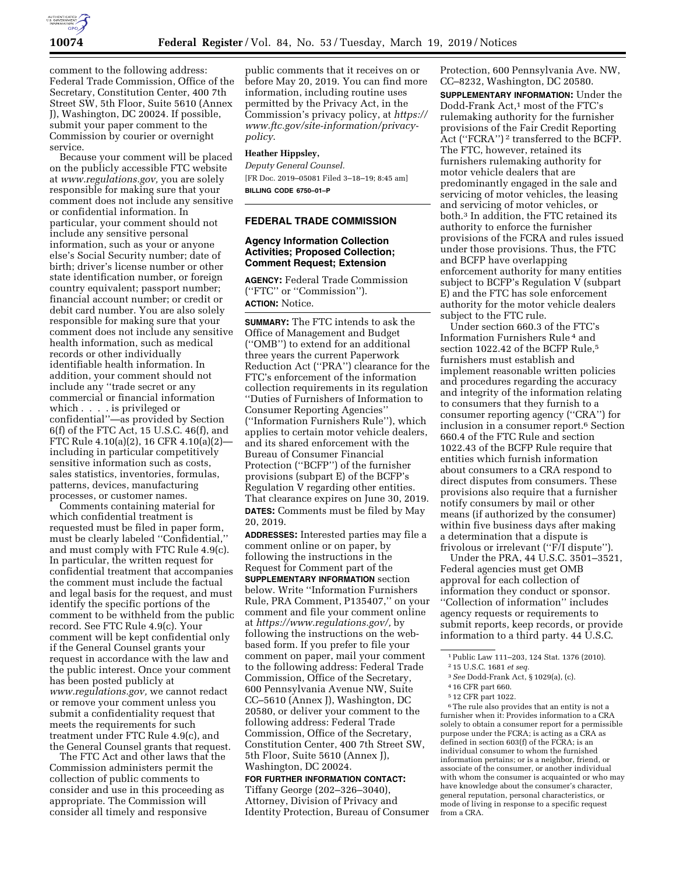

comment to the following address: Federal Trade Commission, Office of the Secretary, Constitution Center, 400 7th Street SW, 5th Floor, Suite 5610 (Annex J), Washington, DC 20024. If possible, submit your paper comment to the Commission by courier or overnight service.

Because your comment will be placed on the publicly accessible FTC website at *[www.regulations.gov,](http://www.regulations.gov)* you are solely responsible for making sure that your comment does not include any sensitive or confidential information. In particular, your comment should not include any sensitive personal information, such as your or anyone else's Social Security number; date of birth; driver's license number or other state identification number, or foreign country equivalent; passport number; financial account number; or credit or debit card number. You are also solely responsible for making sure that your comment does not include any sensitive health information, such as medical records or other individually identifiable health information. In addition, your comment should not include any ''trade secret or any commercial or financial information which . . . . is privileged or confidential''—as provided by Section 6(f) of the FTC Act, 15 U.S.C. 46(f), and FTC Rule 4.10(a)(2), 16 CFR 4.10(a)(2) including in particular competitively sensitive information such as costs, sales statistics, inventories, formulas, patterns, devices, manufacturing processes, or customer names.

Comments containing material for which confidential treatment is requested must be filed in paper form, must be clearly labeled ''Confidential,'' and must comply with FTC Rule 4.9(c). In particular, the written request for confidential treatment that accompanies the comment must include the factual and legal basis for the request, and must identify the specific portions of the comment to be withheld from the public record. See FTC Rule 4.9(c). Your comment will be kept confidential only if the General Counsel grants your request in accordance with the law and the public interest. Once your comment has been posted publicly at *[www.regulations.gov,](http://www.regulations.gov)* we cannot redact or remove your comment unless you submit a confidentiality request that meets the requirements for such treatment under FTC Rule 4.9(c), and the General Counsel grants that request.

The FTC Act and other laws that the Commission administers permit the collection of public comments to consider and use in this proceeding as appropriate. The Commission will consider all timely and responsive

public comments that it receives on or before May 20, 2019. You can find more information, including routine uses permitted by the Privacy Act, in the Commission's privacy policy, at *[https://](https://www.ftc.gov/site-information/privacy-policy)  [www.ftc.gov/site-information/privacy](https://www.ftc.gov/site-information/privacy-policy)[policy](https://www.ftc.gov/site-information/privacy-policy)*.

## **Heather Hippsley,**

*Deputy General Counsel.*  [FR Doc. 2019–05081 Filed 3–18–19; 8:45 am] **BILLING CODE 6750–01–P** 

## **FEDERAL TRADE COMMISSION**

# **Agency Information Collection Activities; Proposed Collection; Comment Request; Extension**

**AGENCY:** Federal Trade Commission (''FTC'' or ''Commission''). **ACTION:** Notice.

**SUMMARY:** The FTC intends to ask the Office of Management and Budget (''OMB'') to extend for an additional three years the current Paperwork Reduction Act (''PRA'') clearance for the FTC's enforcement of the information collection requirements in its regulation ''Duties of Furnishers of Information to Consumer Reporting Agencies'' (''Information Furnishers Rule''), which applies to certain motor vehicle dealers, and its shared enforcement with the Bureau of Consumer Financial Protection (''BCFP'') of the furnisher provisions (subpart E) of the BCFP's Regulation V regarding other entities. That clearance expires on June 30, 2019. **DATES:** Comments must be filed by May 20, 2019.

**ADDRESSES:** Interested parties may file a comment online or on paper, by following the instructions in the Request for Comment part of the **SUPPLEMENTARY INFORMATION** section below. Write ''Information Furnishers Rule, PRA Comment, P135407,'' on your comment and file your comment online at *[https://www.regulations.gov/,](https://www.regulations.gov/)* by following the instructions on the webbased form. If you prefer to file your comment on paper, mail your comment to the following address: Federal Trade Commission, Office of the Secretary, 600 Pennsylvania Avenue NW, Suite CC–5610 (Annex J), Washington, DC 20580, or deliver your comment to the following address: Federal Trade Commission, Office of the Secretary, Constitution Center, 400 7th Street SW, 5th Floor, Suite 5610 (Annex J), Washington, DC 20024.

## **FOR FURTHER INFORMATION CONTACT:**

Tiffany George (202–326–3040), Attorney, Division of Privacy and Identity Protection, Bureau of Consumer

Protection, 600 Pennsylvania Ave. NW, CC–8232, Washington, DC 20580.

**SUPPLEMENTARY INFORMATION:** Under the Dodd-Frank Act,<sup>1</sup> most of the FTC's rulemaking authority for the furnisher provisions of the Fair Credit Reporting Act (''FCRA'') 2 transferred to the BCFP. The FTC, however, retained its furnishers rulemaking authority for motor vehicle dealers that are predominantly engaged in the sale and servicing of motor vehicles, the leasing and servicing of motor vehicles, or both.3 In addition, the FTC retained its authority to enforce the furnisher provisions of the FCRA and rules issued under those provisions. Thus, the FTC and BCFP have overlapping enforcement authority for many entities subject to BCFP's Regulation V (subpart E) and the FTC has sole enforcement authority for the motor vehicle dealers subject to the FTC rule.

Under section 660.3 of the FTC's Information Furnishers Rule 4 and section 1022.42 of the BCFP Rule,<sup>5</sup> furnishers must establish and implement reasonable written policies and procedures regarding the accuracy and integrity of the information relating to consumers that they furnish to a consumer reporting agency (''CRA'') for inclusion in a consumer report.6 Section 660.4 of the FTC Rule and section 1022.43 of the BCFP Rule require that entities which furnish information about consumers to a CRA respond to direct disputes from consumers. These provisions also require that a furnisher notify consumers by mail or other means (if authorized by the consumer) within five business days after making a determination that a dispute is frivolous or irrelevant (''F/I dispute'').

Under the PRA, 44 U.S.C. 3501–3521, Federal agencies must get OMB approval for each collection of information they conduct or sponsor. ''Collection of information'' includes agency requests or requirements to submit reports, keep records, or provide information to a third party. 44 U.S.C.

- 3*See* Dodd-Frank Act, § 1029(a), (c).
- 4 16 CFR part 660.
- 5 12 CFR part 1022.

6The rule also provides that an entity is not a furnisher when it: Provides information to a CRA solely to obtain a consumer report for a permissible purpose under the FCRA; is acting as a CRA as defined in section 603(f) of the FCRA; is an individual consumer to whom the furnished information pertains; or is a neighbor, friend, or associate of the consumer, or another individual with whom the consumer is acquainted or who may have knowledge about the consumer's character, general reputation, personal characteristics, or mode of living in response to a specific request from a CRA.

<sup>1</sup>Public Law 111–203, 124 Stat. 1376 (2010).

<sup>2</sup> 15 U.S.C. 1681 *et seq.*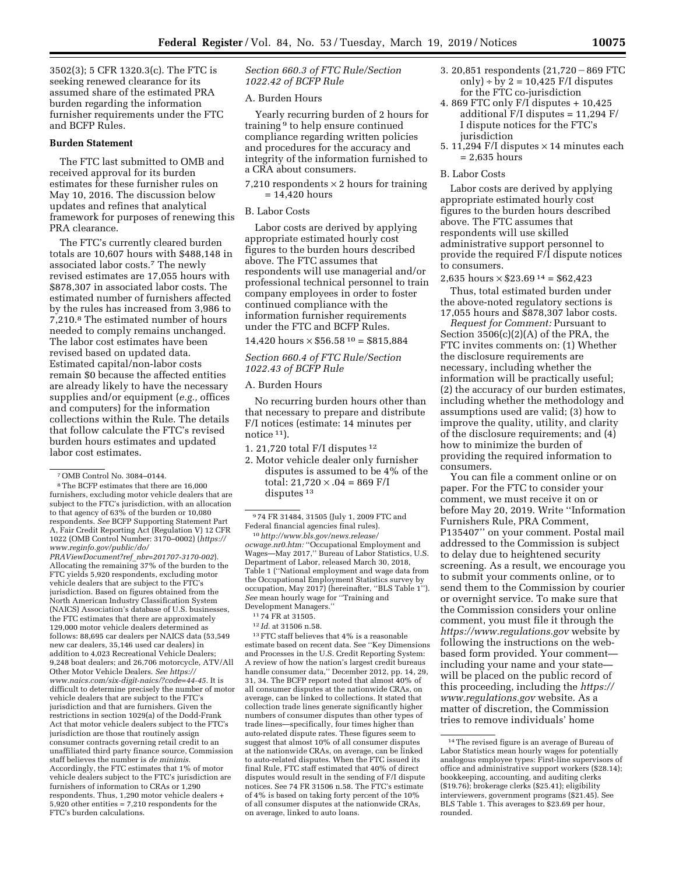3502(3); 5 CFR 1320.3(c). The FTC is seeking renewed clearance for its assumed share of the estimated PRA burden regarding the information furnisher requirements under the FTC and BCFP Rules.

## **Burden Statement**

The FTC last submitted to OMB and received approval for its burden estimates for these furnisher rules on May 10, 2016. The discussion below updates and refines that analytical framework for purposes of renewing this PRA clearance.

The FTC's currently cleared burden totals are 10,607 hours with \$488,148 in associated labor costs.7 The newly revised estimates are 17,055 hours with \$878,307 in associated labor costs. The estimated number of furnishers affected by the rules has increased from 3,986 to 7,210.8 The estimated number of hours needed to comply remains unchanged. The labor cost estimates have been revised based on updated data. Estimated capital/non-labor costs remain \$0 because the affected entities are already likely to have the necessary supplies and/or equipment (*e.g.,* offices and computers) for the information collections within the Rule. The details that follow calculate the FTC's revised burden hours estimates and updated labor cost estimates.

5,920 other entities = 7,210 respondents for the FTC's burden calculations.

*Section 660.3 of FTC Rule/Section 1022.42 of BCFP Rule* 

A. Burden Hours

Yearly recurring burden of 2 hours for training 9 to help ensure continued compliance regarding written policies and procedures for the accuracy and integrity of the information furnished to a CRA about consumers.

7,210 respondents  $\times$  2 hours for training = 14,420 hours

B. Labor Costs

Labor costs are derived by applying appropriate estimated hourly cost figures to the burden hours described above. The FTC assumes that respondents will use managerial and/or professional technical personnel to train company employees in order to foster continued compliance with the information furnisher requirements under the FTC and BCFP Rules.

 $14,420$  hours  $\times$  \$56.58<sup>10</sup> = \$815,884

*Section 660.4 of FTC Rule/Section 1022.43 of BCFP Rule* 

#### A. Burden Hours

No recurring burden hours other than that necessary to prepare and distribute F/I notices (estimate: 14 minutes per notice <sup>11</sup>).

- 1. 21,720 total F/I disputes 12
- 2. Motor vehicle dealer only furnisher disputes is assumed to be 4% of the total:  $21,720 \times .04 = 869$  F/I disputes<sup>13</sup>

10*[http://www.bls.gov/news.release/](http://www.bls.gov/news.release/ocwage.nr0.htm)  [ocwage.nr0.htm:](http://www.bls.gov/news.release/ocwage.nr0.htm)* ''Occupational Employment and Wages—May 2017,'' Bureau of Labor Statistics, U.S. Department of Labor, released March 30, 2018, Table 1 (''National employment and wage data from the Occupational Employment Statistics survey by occupation, May 2017) (hereinafter, ''BLS Table 1''). *See* mean hourly wage for ''Training and Development Managers.''

- 11 74 FR at 31505.
- 12 *Id.* at 31506 n.58.

 $^{13}\mathrm{FTC}$  staff believes that 4% is a reasonable estimate based on recent data. See ''Key Dimensions and Processes in the U.S. Credit Reporting System: A review of how the nation's largest credit bureaus handle consumer data,'' December 2012, pp. 14, 29, 31, 34. The BCFP report noted that almost 40% of all consumer disputes at the nationwide CRAs, on average, can be linked to collections. It stated that collection trade lines generate significantly higher numbers of consumer disputes than other types of trade lines—specifically, four times higher than auto-related dispute rates. These figures seem to suggest that almost 10% of all consumer disputes at the nationwide CRAs, on average, can be linked to auto-related disputes. When the FTC issued its final Rule, FTC staff estimated that 40% of direct disputes would result in the sending of F/I dispute notices. See 74 FR 31506 n.58. The FTC's estimate of 4% is based on taking forty percent of the 10% of all consumer disputes at the nationwide CRAs, on average, linked to auto loans.

- 3. 20,851 respondents  $(21,720 869$  FTC only) ÷ by  $2 = 10,425$  F/I disputes for the FTC co-jurisdiction
- 4. 869 FTC only F/I disputes + 10,425 additional F/I disputes = 11,294 F/ I dispute notices for the FTC's jurisdiction
- 5. 11,294 F/I disputes  $\times$  14 minutes each = 2,635 hours

## B. Labor Costs

Labor costs are derived by applying appropriate estimated hourly cost figures to the burden hours described above. The FTC assumes that respondents will use skilled administrative support personnel to provide the required F/I dispute notices to consumers.

2,635 hours  $\times$  \$23.69<sup>14</sup> = \$62.423

Thus, total estimated burden under the above-noted regulatory sections is 17,055 hours and \$878,307 labor costs.

*Request for Comment:* Pursuant to Section  $3506(c)(2)(A)$  of the PRA, the FTC invites comments on: (1) Whether the disclosure requirements are necessary, including whether the information will be practically useful; (2) the accuracy of our burden estimates, including whether the methodology and assumptions used are valid; (3) how to improve the quality, utility, and clarity of the disclosure requirements; and (4) how to minimize the burden of providing the required information to consumers.

You can file a comment online or on paper. For the FTC to consider your comment, we must receive it on or before May 20, 2019. Write ''Information Furnishers Rule, PRA Comment, P135407'' on your comment. Postal mail addressed to the Commission is subject to delay due to heightened security screening. As a result, we encourage you to submit your comments online, or to send them to the Commission by courier or overnight service. To make sure that the Commission considers your online comment, you must file it through the *<https://www.regulations.gov>* website by following the instructions on the webbased form provided. Your comment including your name and your state will be placed on the public record of this proceeding, including the *[https://](https://www.regulations.gov) [www.regulations.gov](https://www.regulations.gov)* website. As a matter of discretion, the Commission tries to remove individuals' home

<sup>7</sup>OMB Control No. 3084–0144.

<sup>8</sup>The BCFP estimates that there are 16,000 furnishers, excluding motor vehicle dealers that are subject to the FTC's jurisdiction, with an allocation to that agency of 63% of the burden or 10,080 respondents. *See* BCFP Supporting Statement Part A, Fair Credit Reporting Act (Regulation V) 12 CFR 1022 (OMB Control Number: 3170–0002) (*[https://](https://www.reginfo.gov/public/do/PRAViewDocument?ref_nbr=201707-3170-002) [www.reginfo.gov/public/do/](https://www.reginfo.gov/public/do/PRAViewDocument?ref_nbr=201707-3170-002)  [PRAViewDocument?ref](https://www.reginfo.gov/public/do/PRAViewDocument?ref_nbr=201707-3170-002)*\_*nbr=201707-3170-002*). Allocating the remaining 37% of the burden to the FTC yields 5,920 respondents, excluding motor vehicle dealers that are subject to the FTC's jurisdiction. Based on figures obtained from the North American Industry Classification System (NAICS) Association's database of U.S. businesses, the FTC estimates that there are approximately 129,000 motor vehicle dealers determined as follows: 88,695 car dealers per NAICS data (53,549 new car dealers, 35,146 used car dealers) in addition to 4,023 Recreational Vehicle Dealers; 9,248 boat dealers; and 26,706 motorcycle, ATV/All Other Motor Vehicle Dealers. *See [https://](https://www.naics.com/six-digit-naics/?code=44-45) [www.naics.com/six-digit-naics/?code=44-45.](https://www.naics.com/six-digit-naics/?code=44-45)* It is difficult to determine precisely the number of motor vehicle dealers that are subject to the FTC's jurisdiction and that are furnishers. Given the restrictions in section 1029(a) of the Dodd-Frank Act that motor vehicle dealers subject to the FTC's jurisdiction are those that routinely assign consumer contracts governing retail credit to an unaffiliated third party finance source, Commission staff believes the number is *de minimis.*  Accordingly, the FTC estimates that 1% of motor vehicle dealers subject to the FTC's jurisdiction are furnishers of information to CRAs or 1,290 respondents. Thus, 1,290 motor vehicle dealers +

<sup>9</sup> 74 FR 31484, 31505 (July 1, 2009 FTC and Federal financial agencies final rules).

<sup>14</sup>The revised figure is an average of Bureau of Labor Statistics mean hourly wages for potentially analogous employee types: First-line supervisors of office and administrative support workers (\$28.14); bookkeeping, accounting, and auditing clerks (\$19.76); brokerage clerks (\$25.41); eligibility interviewers, government programs (\$21.45). See BLS Table 1. This averages to \$23.69 per hour, rounded.